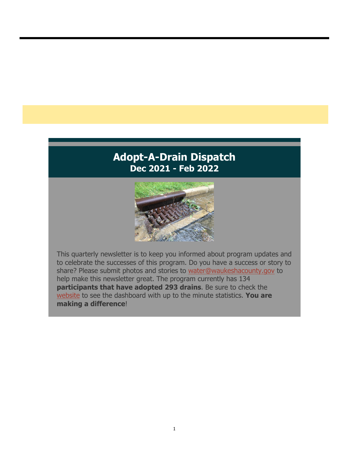## **Adopt-A-Drain Dispatch Dec 2021 - Feb 2022**



This quarterly newsletter is to keep you informed about program updates and to celebrate the successes of this program. Do you have a success or story to share? Please submit photos and stories to water@waukeshacounty.gov to help make this newsletter great. The program currently has 134 **participants that have adopted 293 drains**. Be sure to check the website to see the dashboard with up to the minute statistics. **You are making a difference**!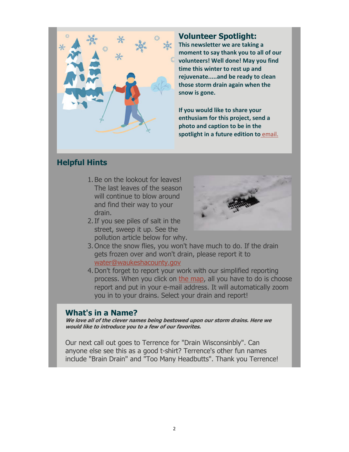

#### **Volunteer Spotlight:**

**This newsletter we are taking a moment to say thank you to all of our volunteers! Well done! May you find time this winter to rest up and rejuvenate.....and be ready to clean those storm drain again when the snow is gone.**

**If you would like to share your enthusiam for this project, send a photo and caption to be in the spotlight in a future edition to** email.

### **Helpful Hints**

- 1. Be on the lookout for leaves! The last leaves of the season will continue to blow around and find their way to your drain.
- 2.If you see piles of salt in the street, sweep it up. See the pollution article below for why.



- 3. Once the snow flies, you won't have much to do. If the drain gets frozen over and won't drain, please report it to water@waukeshacounty.gov
- 4.Don't forget to report your work with our simplified reporting process. When you click on the map, all you have to do is choose report and put in your e-mail address. It will automatically zoom you in to your drains. Select your drain and report!

#### **What's in a Name?**

**We love all of the clever names being bestowed upon our storm drains. Here we would like to introduce you to a few of our favorites.**

Our next call out goes to Terrence for "Drain Wisconsinbly". Can anyone else see this as a good t-shirt? Terrence's other fun names include "Brain Drain" and "Too Many Headbutts". Thank you Terrence!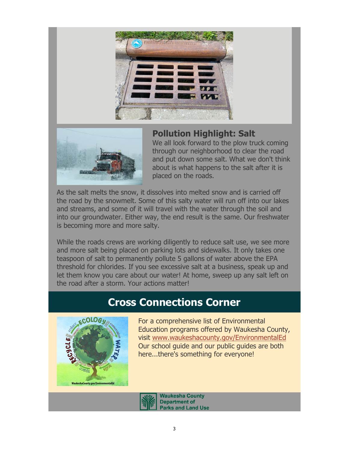



### **Pollution Highlight: Salt**

We all look forward to the plow truck coming through our neighborhood to clear the road and put down some salt. What we don't think about is what happens to the salt after it is placed on the roads.

As the salt melts the snow, it dissolves into melted snow and is carried off the road by the snowmelt. Some of this salty water will run off into our lakes and streams, and some of it will travel with the water through the soil and into our groundwater. Either way, the end result is the same. Our freshwater is becoming more and more salty.

While the roads crews are working diligently to reduce salt use, we see more and more salt being placed on parking lots and sidewalks. It only takes one teaspoon of salt to permanently pollute 5 gallons of water above the EPA threshold for chlorides. If you see excessive salt at a business, speak up and let them know you care about our water! At home, sweep up any salt left on the road after a storm. Your actions matter!

# **Cross Connections Corner**



For a comprehensive list of Environmental Education programs offered by Waukesha County, visit www.waukeshacounty.gov/EnvironmentalEd Our school guide and our public guides are both here...there's something for everyone!